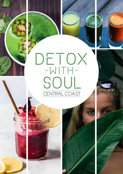



# DETOX





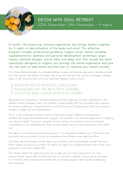

## **DETOX WITH SOUL RETREAT** 20th November- 24th November – 4 nights

**A soulful, life enhancing intimate experience, that brings women together for 4 nights of detoxification of the body and mind. This effective program includes professional guidance, organic juices, herbal remedies, supplementation, wellness and personal development workshops, yoga classes, hot/cold therapy, nature hikes and deep rest! This retreat has been specifically designed to support you through the whole experience and give you the tools to take home and kick start or improve your health journey.** 

This Detox Retreat provides the ultimate wellness escape and healing experience. Liberate yourself from the stresses and effects of modern-day living and discover new reserves of energy, a deeper sense of self and reconnect with your healthiest happiest version of you!

RETREAT INTO A PEACEFUL SANCTUARY IN HOLGATE ON THE BEAUTIFUL CENTRAL COAST OF NSW, 1 HOUR NORTH OF SYDNEY.

Be guided and inspired by 2 wellness professionals that share over 35 years' experience in the wellness industry between them. Lisa Turnbull is a Naturopath and Psychotherapist with a passion for women's well-being. Cassandra Parrish is a Nutritionist and Transpersonal Coach with a special interest in weight loss and detoxification.

This is a life enhancing intimate immersion that brings women together to experience a professionally supported detoxification program. This program is an intensive experience of resetting your physical health. During this program we also address the emotional and psychological components of your wellbeing and what you may need to let go of and detoxify on those levels too!

This detox is a no-chewing juice fasting program. It is designed to cleanse you of the toxins that your body has accumulated, and let you experience the ultimate inner cleansing effect.

Our body and mind require a reset every now and then. Toxins accumulated through the years effect regular functions in our body. This detox can help you to reset and heal some of the more prominent issues from modern life.

This retreat creates the opportunity for you to take time out and un-plug from your busy, overcommitted, responsible life and take time for yourself to detoxify, restore, revive and heal! It is a holistic and comprehensive retreat with an amazing program, both equally challenging and rewarding.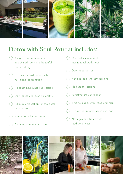

# **Detox with Soul Retreat includes:**

- <sup>2</sup> 4 nights' accommodation in a shared room in a beautiful home setting
- $\langle \hat{z} \rangle$  1 x personalised naturopathicl nutritional consultation
- $\Box$  1 x coaching/counselling session
- $\Box$  Daily juices and evening broths
- $\langle \rangle$  All supplementation for the detox experience
- $\overline{\mathcal{L}}$  Herbal formulas for detox
- **Solution** Connection circle



- **Solut** Use of the infrared sauna and pool
- **Example 2** Massages and treatments (additional cost)

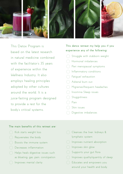

This Detox Program is based on the latest research in natural medicine combined with the facilitator's 35 years of experience within the Wellness Industry. It also employs healing principles adopted by other cultures around the world. It is a juice-fasting program designed to provide a rest for the body's critical systems.

### **This detox retreat my help you if you experience any of the following;**

- Struggle with stubborn weight Hormonal imbalances Peri menopausal symptoms Inflammatory conditions Fatiquel exhaustion Adrenal burn out Migraines/frequent headaches Insomnia Sleep issues
	- Sluggishness
	- $Pain$
	- Skin issues
- Digestive imbalances

### **The main benefits of this retreat are:**

Kick starts weight loss Rejuvenates the body Boosts the immune system Decreases inflammation Helps heals digestive issues such as bloating, gas, pain, constipation **Example 1** Improves mental clarity

| 0 | Cleanses the liver. kidneys &                       |
|---|-----------------------------------------------------|
|   | lymphatic system                                    |
|   | Inproves nutrient absorption                        |
|   | <b>The Improves skin glow</b>                       |
|   | Supports your gut flora                             |
|   | Improves quality/quantity of sleep                  |
|   | $\langle \cdot \rangle$ : Educates and empowers you |
|   | around your health and body                         |
|   |                                                     |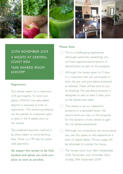

**20TH NOVEMBER 2019 4 NIGHTS AT CENTRAL COAST NSW TWIN SHARED ROOM \$2350PP** 

### **Registration**

This retreat caters for a maximum of 8 participants. To hold your place a \$1000 non-refundable deposit is required at time of registration. The remaining balance can be placed on a payment plan or paid in full 6 weeks prior to the retreat.

The preferred payment method is by direct debit to avoid banking fees. There is a 1.9% fee for credit card payments.

**We expect this retreat to be fully booked and advise you hold your place as soon as possible.** 

### **Please Note**

- This is a challenging experience (although extremely rewarding) you will have experiences/symptoms of detoxification as part of the program.
- $\langle \overline{\phantom{a}} \rangle$  Although the retreat goes for 5 days It is important that you participate in both the pre and post detox protocols as advised. These will be sent to you on booking. The pre-detox protocol is designed to start at least 5 days prior to the retreat start date.
- $\therefore$  This retreat is set on a beautiful property in a secluded forest. We recommend you stay on the property for the duration of the retreat to gain the full retreat experience.
- $\Box$ : Although not compulsory we recommend you use this space to also experience a level of digital detox. Phone usage will be allocated to outside the house.
- $\mathbb{R}^n$ : The retreat starts from 4pm Wednesday 20th November and concludes 12pm Sunday 24th November 2019.